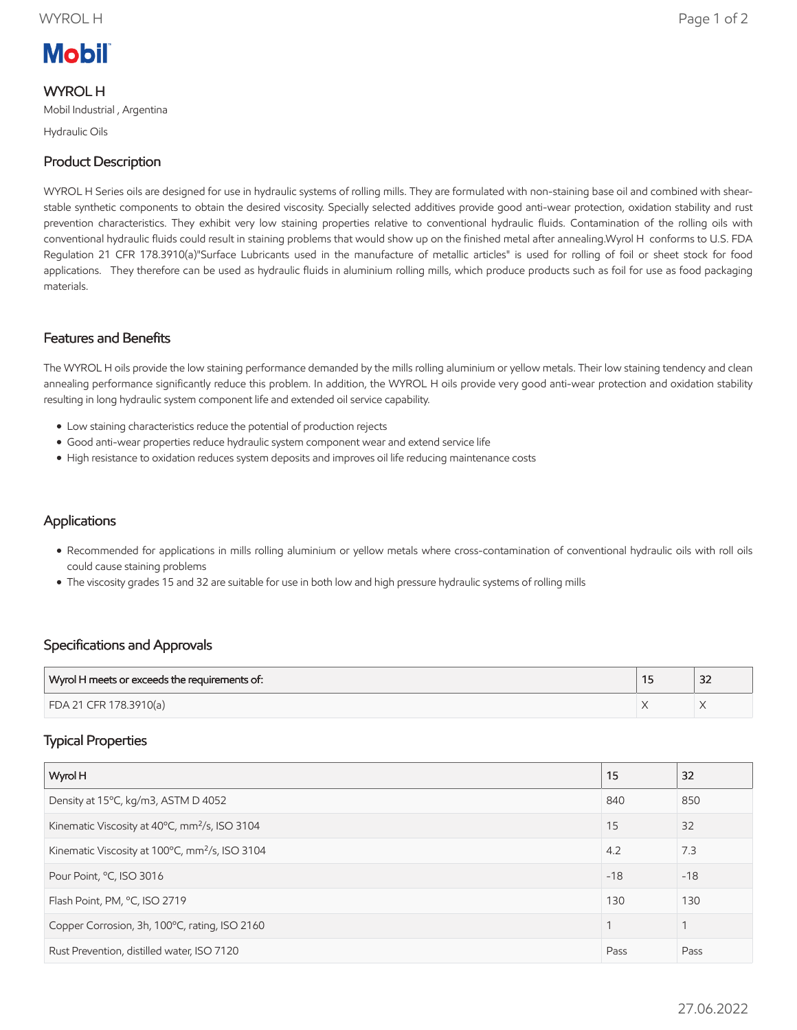# **Mobil**

WYROL H Mobil Industrial , Argentina

Hydraulic Oils

### Product Description

WYROL H Series oils are designed for use in hydraulic systems of rolling mills. They are formulated with non-staining base oil and combined with shearstable synthetic components to obtain the desired viscosity. Specially selected additives provide good anti-wear protection, oxidation stability and rust prevention characteristics. They exhibit very low staining properties relative to conventional hydraulic fluids. Contamination of the rolling oils with conventional hydraulic fluids could result in staining problems that would show up on the finished metal after annealing.Wyrol H conforms to U.S. FDA Regulation 21 CFR 178.3910(a)"Surface Lubricants used in the manufacture of metallic articles" is used for rolling of foil or sheet stock for food applications. They therefore can be used as hydraulic fluids in aluminium rolling mills, which produce products such as foil for use as food packaging materials.

#### Features and Benefits

The WYROL H oils provide the low staining performance demanded by the mills rolling aluminium or yellow metals. Their low staining tendency and clean annealing performance significantly reduce this problem. In addition, the WYROL H oils provide very good anti-wear protection and oxidation stability resulting in long hydraulic system component life and extended oil service capability.

- Low staining characteristics reduce the potential of production rejects
- Good anti-wear properties reduce hydraulic system component wear and extend service life
- High resistance to oxidation reduces system deposits and improves oil life reducing maintenance costs

#### **Applications**

- Recommended for applications in mills rolling aluminium or yellow metals where cross-contamination of conventional hydraulic oils with roll oils could cause staining problems
- The viscosity grades 15 and 32 are suitable for use in both low and high pressure hydraulic systems of rolling mills

#### Specifications and Approvals

| Wyrol H meets or exceeds the requirements of: | $\sim$<br>ےر |
|-----------------------------------------------|--------------|
| FDA 21 CFR 178.3910(a)                        |              |

#### Typical Properties

| Wyrol H                                                    | 15    | 32    |
|------------------------------------------------------------|-------|-------|
| Density at 15°C, kg/m3, ASTM D 4052                        | 840   | 850   |
| Kinematic Viscosity at 40°C, mm <sup>2</sup> /s, ISO 3104  | 15    | 32    |
| Kinematic Viscosity at 100°C, mm <sup>2</sup> /s, ISO 3104 | 4.2   | 7.3   |
| Pour Point, °C, ISO 3016                                   | $-18$ | $-18$ |
| Flash Point, PM, °C, ISO 2719                              | 130   | 130   |
| Copper Corrosion, 3h, 100°C, rating, ISO 2160              | 1     | 1     |
| Rust Prevention, distilled water, ISO 7120                 | Pass  | Pass  |